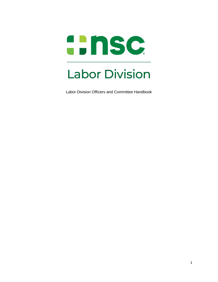

Labor Division Officers and Committee Handbook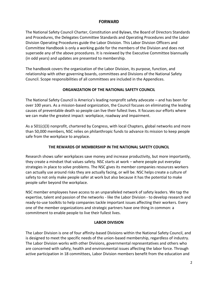# **FORWARD**

The National Safety Council Charter, Constitution and Bylaws, the Board of Directors Standards and Procedures, the Delegates Committee Standards and Operating Procedures and the Labor Division Operating Procedures guide the Labor Division. This Labor Division Officers and Committee Handbook is only a working guide for the members of the Division and does not supersede any of the above procedures. It is reviewed by the Executive Committee biannually (in odd years) and updates are presented to membership.

The handbook covers the organization of the Labor Division, its purpose, function, and relationship with other governing boards, committees and Divisions of the National Safety Council. Scope responsibilities of all committees are included in the Appendices.

## **ORGANIZATION OF THE NATIONAL SAFETY COUNCIL**

The National Safety Council is America's leading nonprofit safety advocate – and has been for over 100 years. As a mission-based organization, the Council focuses on eliminating the leading causes of preventable death so people can live their fullest lives. It focuses our efforts where we can make the greatest impact: [workplace,](https://www.nsc.org/workplace) [roadway](https://www.nsc.org/road) and [impairment.](https://www.nsc.org/workplace/safety-topics/impairment)

As a 501(c)(3) nonprofit, chartered by Congress, with local [Chapters,](https://www.nsc.org/company/chapters-training-centers#InplviewHash%27) [global](https://www.nsc.org/safety-training/international) networks and more than 50,000 members, NSC relies on philanthropic funds to advance its mission to keep people safe from the workplace to anyplace.

## **THE REWARDS OF MEMBERSHIP IN THE NATIONAL SAFETY COUNCIL**

Research shows safer workplaces save money and increase productivity, but more importantly, they create a mindset that values safety. NSC starts at work – where people put everyday strategies in place to solve problems. The NSC gives its member companies resources workers can actually use around risks they are actually facing, or will be. NSC helps create a culture of safety to not only make people safer at work but also because it has the potential to make people safer beyond the workplace.

NSC member employees have access to an unparalleled network of safety leaders. We tap the expertise, talent and passion of the networks - like the Labor Division - to develop research and ready-to-use toolkits to help companies tackle important issues affecting their workers. Every one of the member organizations and strategic partners have one thing in common: a commitment to enable people to live their fullest lives.

## **LABOR DIVISION**

The Labor Division is one of four affinity-based Divisions within the National Safety Council, and is designed to meet the specific needs of the union-based membership, regardless of industry. The Labor Division works with other Divisions, governmental representatives and others who are concerned with safety, health and environmental issues affecting the labor force. Through active participation in 18 committees, Labor Division members benefit from the education and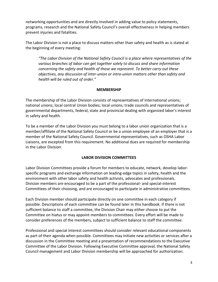networking opportunities and are directly involved in adding value to policy statements, programs, research and the National Safety Council's overall effectiveness in helping members prevent injuries and fatalities.

The Labor Division is not a place to discuss matters other than safety and health as is stated at the beginning of every meeting:

*"The Labor Division of the National Safety Council is a place where representatives of the various branches of labor can get together solely to discuss and share information concerning the safety and health of those we represent. To better carry out these objectives, any discussion of inter-union or intra-union matters other than safety and health will be ruled out of order."*

#### **MEMBERSHIP**

The membership of the Labor Division consists of representatives of international unions; national unions; local central Union bodies; local unions; trade councils and representatives of governmental departments, federal, state and provincial dealing with organized labor's interest in safety and health.

To be a member of the Labor Division you must belong to a labor union organization that is a member/affiliate of the National Safety Council or be a union employee of an employer that is a member of the National Safety Council. Governmental representatives, such as OSHA Labor Liaisons, are excepted from this requirement. No additional dues are required for membership in the Labor Division.

## **LABOR DIVISION COMMITTEES**

Labor Division Committees provide a forum for members to educate, network, develop laborspecific programs and exchange information on leading-edge topics in safety, health and the environment with other labor safety and health activists, advocates and professionals. Division members are encouraged to be a part of the professional- and special-interest Committees of their choosing, and are encouraged to participate in administrative committees.

Each Division member should participate directly on one committee in each category if possible. Descriptions of each committee can be found later in this handbook. If there is not sufficient balance to staff a committee, the Division Chair may either choose to put the Committee on hiatus or may appoint members to committees. Every effort will be made to consider preferences of the members, subject to sufficient balance to staff the committee.

Professional and special interest committees should consider relevant educational components as part of their agenda when possible. Committees may initiate new activities or services after a discussion in the Committee meeting and a presentation of recommendations to the Executive Committee of the Labor Division. Following Executive Committee approval, the National Safety Council management and Labor Division membership will be approached for authorization.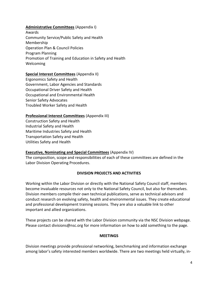## **Administrative Committees** (Appendix I)

Awards Community Service/Public Safety and Health Membership Operation Plan & Council Policies Program Planning Promotion of Training and Education in Safety and Health Welcoming

## **Special Interest Committees** (Appendix II)

Ergonomics Safety and Health Government, Labor Agencies and Standards Occupational Driver Safety and Health Occupational and Environmental Health Senior Safety Advocates Troubled Worker Safety and Health

#### **Professional Interest Committees** (Appendix III)

Construction Safety and Health Industrial Safety and Health Maritime Industries Safety and Health Transportation Safety and Health Utilities Safety and Health

## **Executive, Nominating and Special Committees** (Appendix IV)

The composition, scope and responsibilities of each of these committees are defined in the Labor Division Operating Procedures.

## **DIVISION PROJECTS AND ACTIVITIES**

Working within the Labor Division or directly with the National Safety Council staff, members become invaluable resources not only to the National Safety Council, but also for themselves. Division members compile their own technical publications, serve as technical advisors and conduct research on evolving safety, health and environmental issues. They create educational and professional development training sessions. They are also a valuable link to other important and allied organizations.

These projects can be shared with the Labor Division community via the NSC Division webpage. Please contact [divisions@nsc.org](mailto:divisions@nsc.org) for more information on how to add something to the page.

#### **MEETINGS**

Division meetings provide professional networking, benchmarking and information exchange among labor's safety interested members worldwide. There are two meetings held virtually, in-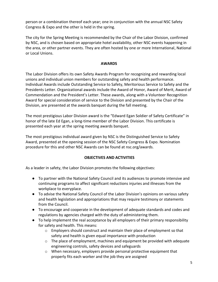person or a combination thereof each year; one in conjunction with the annual NSC Safety Congress & Expo and the other is held in the spring.

The city for the Spring Meeting is recommended by the Chair of the Labor Division, confirmed by NSC, and is chosen based on appropriate hotel availability, other NSC events happening in the area, or other partner events. They are often hosted by one or more International, National or Local Unions.

#### **AWARDS**

The Labor Division offers its own Safety Awards Program for recognizing and rewarding local unions and individual union members for outstanding safety and health performance. Individual Awards include Outstanding Service to Safety, Meritorious Service to Safety and the Presidents Letter. Organizational awards include the Award of Honor, Award of Merit, Award of Commendation and the President's Letter. These awards, along with a Volunteer Recognition Award for special consideration of service to the Division and presented by the Chair of the Division, are presented at the awards banquet during the fall meeting.

The most prestigious Labor Division award is the "Edward Egan Soldier of Safety Certificate" in honor of the late Ed Egan, a long-time member of the Labor Division. This certificate is presented each year at the spring meeting awards banquet.

The most prestigious individual award given by NSC is the Distinguished Service to Safety Award, presented at the opening session of the NSC Safety Congress & Expo. Nomination procedure for this and other NSC Awards can be found at nsc.org/awards.

## **OBJECTIVES AND ACTIVITIES**

As a leader in safety, the Labor Division promotes the following objectives:

- To partner with the National Safety Council and its audiences to promote intensive and continuing programs to affect significant reductions injuries and illnesses from the workplace to everyplace.
- To advise the National Safety Council of the Labor Division's opinions on various safety and health legislation and appropriations that may require testimony or statements from the Council.
- To encourage and cooperate in the development of adequate standards and codes and regulations by agencies charged with the duty of administering them.
- To help implement the real acceptance by all employers of their primary responsibility for safety and health. This means:
	- o Employers should construct and maintain their place of employment so that safety and health is given equal importance with production
	- $\circ$  The place of employment, machines and equipment be provided with adequate engineering controls, safety devices and safeguards
	- o When necessary, employers provide personal protective equipment that properly fits each worker and the job they are assigned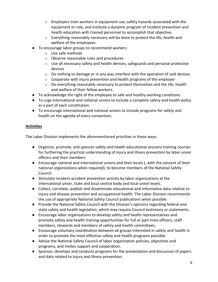- o Employers train workers in equipment use, safety hazards associated with the equipment or role, and institute a dynamic program of incident prevention and health education with trained personnel to accomplish that objective;
- $\circ$  Everything reasonably necessary will be done to protect the life, health and welfare of the employees.
- To encourage labor groups to recommend workers:
	- o Use safe methods
	- o Observe reasonable rules and procedures
	- $\circ$  Use all necessary safety and health devices, safeguards and personal protective devices
	- o Do nothing to damage or in any way interfere with the operation of said devices
	- o Cooperate with injury prevention and health programs of the employer
	- $\circ$  Do everything reasonably necessary to protect themselves and the life, health and welfare of their fellow workers.
- To acknowledge the right of the employee to safe and healthy working conditions.
- To urge international and national unions to include a complete safety and health policy as a part of each constitution.
- To encourage international and national unions to include programs for safety and health on the agenda of every convention.

# **Activities**

The Labor Division implements the aforementioned priorities in these ways:

- Organize, promote, and sponsor safety and health educational sessions training courses for furthering the practical understanding of injury and illness prevention by labor union officers and their members.
- Encourage national and international unions and their locals (, with the consent of their national organizations when required), to become members of the National Safety Council.
- Stimulate incident accident prevention activity by labor organizations at the international union, state and local central body and local union levels.
- Collect, correlate, publish and disseminate educational and informative data relative to injury and disease prevention and occupational health. The Labor Division recommends the use of appropriate National Safety Council publications when possible.
- Provide the National Safety Council with the Division's opinions regarding federal and state safety and health legislation, which may require Council testimony or statements.
- Encourage labor organizations to develop safety and health representatives and promote safety and health training opportunities for full or part-time officers, staff members, stewards and members of safety and health committees.
- Encourage voluntary coordination between all groups interested in safety and health in order to promote the most effective safety and health programs possible.
- Advise the National Safety Council of labor organization policies, objectives and programs, and invites support and cooperation.
- Sponsor, develops and conducts programs for the presentation and discussion of papers and data related to injury and illness prevention.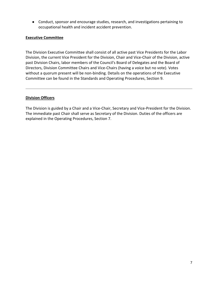● Conduct, sponsor and encourage studies, research, and investigations pertaining to occupational health and incident accident prevention.

#### **Executive Committee**

The Division Executive Committee shall consist of all active past Vice Presidents for the Labor Division, the current Vice President for the Division, Chair and Vice-Chair of the Division, active past Division Chairs, labor members of the Council's Board of Delegates and the Board of Directors, Division Committee Chairs and Vice-Chairs (having a voice but no vote). Votes without a quorum present will be non-binding. Details on the operations of the Executive Committee can be found in the Standards and Operating Procedures, Section 9.

#### **Division Officers**

The Division is guided by a Chair and a Vice-Chair, Secretary and Vice-President for the Division. The immediate past Chair shall serve as Secretary of the Division. Duties of the officers are explained in the Operating Procedures, Section 7.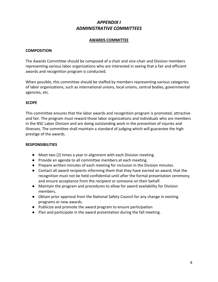# *APPENDIX I ADMINISTRATIVE COMMITTEES*

#### **AWARDS COMMITTEE**

#### **COMPOSITION**

The Awards Committee should be composed of a chair and vice-chair and Division members representing various labor organizations who are interested in seeing that a fair and efficient awards and recognition program is conducted.

When possible, this committee should be staffed by members representing various categories of labor organizations, such as international unions, local unions, central bodies, governmental agencies, etc.

#### **SCOPE**

This committee ensures that the labor awards and recognition program is promoted, attractive and fair. The program must reward those labor organizations and individuals who are members in the NSC Labor Division and are doing outstanding work in the prevention of injuries and illnesses. The committee shall maintain a standard of judging which will guarantee the high prestige of the awards.

- Meet two (2) times a year in alignment with each Division meeting.
- Provide an agenda to all committee members at each meeting.
- Prepare written minutes of each meeting for inclusion in the Division minutes.
- Contact all award recipients informing them that they have earned an award, that the recognition must not be held confidential until after the formal presentation ceremony, and ensure acceptance from the recipient or someone on their behalf.
- Maintain the program and procedures to allow for award availability for Division members.
- Obtain prior approval from the National Safety Council for any change in existing programs or new awards.
- Publicize and promote the award program to ensure participation
- Plan and participate in the award presentation during the fall meeting.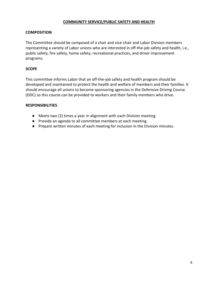## **COMMUNITY SERVICE/PUBLIC SAFETY AND HEALTH**

#### **COMPOSITION**

The Committee should be composed of a chair and vice-chair and Labor Division members representing a variety of Labor unions who are interested in off-the-job safety and health, i.e., public safety, fire safety, home safety, recreational practices, and driver improvement programs.

#### **SCOPE**

This committee informs Labor that an off-the-job safety and health program should be developed and maintained to protect the health and welfare of members and their families. It should encourage all unions to become sponsoring agencies in the Defensive Driving Course (DDC) so this course can be provided to workers and their family members who drive.

- Meets two (2) times a year in alignment with each Division meeting.
- Provide an agenda to all committee members at each meeting.
- Prepare written minutes of each meeting for inclusion in the Division minutes.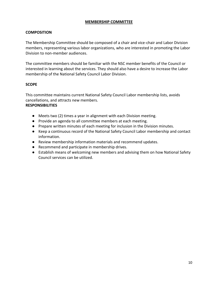#### **MEMBERSHIP COMMITTEE**

## **COMPOSITION**

The Membership Committee should be composed of a chair and vice-chair and Labor Division members, representing various labor organizations, who are interested in promoting the Labor Division to non-member audiences.

The committee members should be familiar with the NSC member benefits of the Council or interested in learning about the services. They should also have a desire to increase the Labor membership of the National Safety Council Labor Division.

## **SCOPE**

This committee maintains current National Safety Council Labor membership lists, avoids cancellations, and attracts new members.

- Meets two (2) times a year in alignment with each Division meeting.
- Provide an agenda to all committee members at each meeting.
- Prepare written minutes of each meeting for inclusion in the Division minutes.
- Keep a continuous record of the National Safety Council Labor membership and contact information.
- Review membership information materials and recommend updates.
- Recommend and participate in membership drives.
- Establish means of welcoming new members and advising them on how National Safety Council services can be utilized.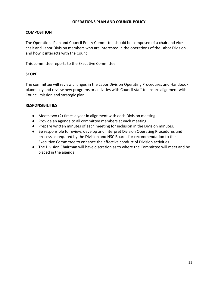## **OPERATIONS PLAN AND COUNCIL POLICY**

## **COMPOSITION**

The Operations Plan and Council Policy Committee should be composed of a chair and vicechair and Labor Division members who are interested in the operations of the Labor Division and how it interacts with the Council.

This committee reports to the Executive Committee

#### **SCOPE**

The committee will review changes in the Labor Division Operating Procedures and Handbook biannually and review new programs or activities with Council staff to ensure alignment with Council mission and strategic plan.

- Meets two (2) times a year in alignment with each Division meeting.
- Provide an agenda to all committee members at each meeting.
- Prepare written minutes of each meeting for inclusion in the Division minutes.
- Be responsible to review, develop and interpret Division Operating Procedures and process as required by the Division and NSC Boards for recommendation to the Executive Committee to enhance the effective conduct of Division activities.
- The Division Chairman will have discretion as to where the Committee will meet and be placed in the agenda.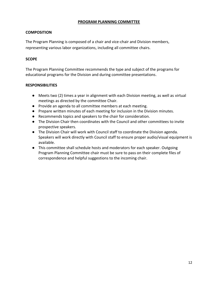## **PROGRAM PLANNING COMMITTEE**

## **COMPOSITION**

The Program Planning is composed of a chair and vice-chair and Division members, representing various labor organizations, including all committee chairs.

## **SCOPE**

The Program Planning Committee recommends the type and subject of the programs for educational programs for the Division and during committee presentations.

- Meets two (2) times a year in alignment with each Division meeting, as well as virtual meetings as directed by the committee Chair.
- Provide an agenda to all committee members at each meeting.
- Prepare written minutes of each meeting for inclusion in the Division minutes.
- Recommends topics and speakers to the chair for consideration.
- The Division Chair then coordinates with the Council and other committees to invite prospective speakers.
- The Division Chair will work with Council staff to coordinate the Division agenda. Speakers will work directly with Council staff to ensure proper audio/visual equipment is available.
- This committee shall schedule hosts and moderators for each speaker. Outgoing Program Planning Committee chair must be sure to pass on their complete files of correspondence and helpful suggestions to the incoming chair.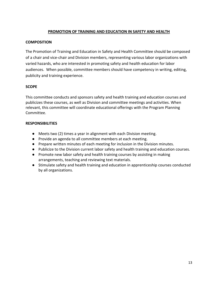## **PROMOTION OF TRAINING AND EDUCATION IN SAFETY AND HEALTH**

#### **COMPOSITION**

The Promotion of Training and Education in Safety and Health Committee should be composed of a chair and vice-chair and Division members, representing various labor organizations with varied hazards, who are interested in promoting safety and health education for labor audiences. When possible, committee members should have competency in writing, editing, publicity and training experience.

#### **SCOPE**

This committee conducts and sponsors safety and health training and education courses and publicizes these courses, as well as Division and committee meetings and activities. When relevant, this committee will coordinate educational offerings with the Program Planning Committee.

- Meets two (2) times a year in alignment with each Division meeting.
- Provide an agenda to all committee members at each meeting.
- Prepare written minutes of each meeting for inclusion in the Division minutes.
- Publicize to the Division current labor safety and health training and education courses.
- Promote new labor safety and health training courses by assisting in making arrangements, teaching and reviewing text materials.
- Stimulate safety and health training and education in apprenticeship courses conducted by all organizations.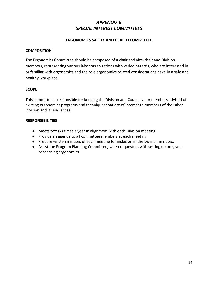# *APPENDIX II SPECIAL INTEREST COMMITTEES*

#### **ERGONOMICS SAFETY AND HEALTH COMMITTEE**

#### **COMPOSITION**

The Ergonomics Committee should be composed of a chair and vice-chair and Division members, representing various labor organizations with varied hazards, who are interested in or familiar with ergonomics and the role ergonomics related considerations have in a safe and healthy workplace.

#### **SCOPE**

This committee is responsible for keeping the Division and Council labor members advised of existing ergonomics programs and techniques that are of interest to members of the Labor Division and its audiences.

- Meets two (2) times a year in alignment with each Division meeting.
- Provide an agenda to all committee members at each meeting.
- Prepare written minutes of each meeting for inclusion in the Division minutes.
- Assist the Program Planning Committee, when requested, with setting up programs concerning ergonomics.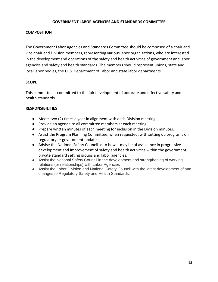#### **GOVERNMENT LABOR AGENCIES AND STANDARDS COMMITTEE**

## **COMPOSITION**

The Government Labor Agencies and Standards Committee should be composed of a chair and vice-chair and Division members, representing various labor organizations, who are interested in the development and operations of the safety and health activities of government and labor agencies and safety and health standards. The members should represent unions, state and local labor bodies, the U. S. Department of Labor and state labor departments.

#### **SCOPE**

This committee is committed to the fair development of accurate and effective safety and health standards.

- Meets two (2) times a year in alignment with each Division meeting.
- Provide an agenda to all committee members at each meeting.
- Prepare written minutes of each meeting for inclusion in the Division minutes.
- Assist the Program Planning Committee, when requested, with setting up programs on regulatory or government updates.
- Advise the National Safety Council as to how it may be of assistance in progressive development and improvement of safety and health activities within the government, private standard setting groups and labor agencies.
- Assist the National Safety Council in the development and strengthening of working relations (or relationships) with Labor Agencies
- Assist the Labor Division and National Safety Council with the latest development of and changes to Regulatory Safety and Health Standards.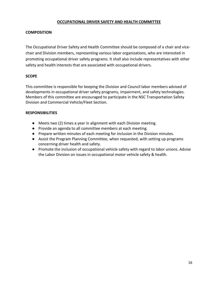## **OCCUPATIONAL DRIVER SAFETY AND HEALTH COMMITTEE**

## **COMPOSITION**

The Occupational Driver Safety and Health Committee should be composed of a chair and vicechair and Division members, representing various labor organizations, who are interested in promoting occupational driver safety programs. It shall also include representatives with other safety and health interests that are associated with occupational drivers.

#### **SCOPE**

This committee is responsible for keeping the Division and Council labor members advised of developments in occupational driver safety programs, impairment, and safety technologies. Members of this committee are encouraged to participate in the NSC Transportation Safety Division and Commercial Vehicle/Fleet Section.

- Meets two (2) times a year in alignment with each Division meeting.
- Provide an agenda to all committee members at each meeting.
- Prepare written minutes of each meeting for inclusion in the Division minutes.
- Assist the Program Planning Committee, when requested, with setting up programs concerning driver health and safety.
- Promote the inclusion of occupational vehicle safety with regard to labor unions. Advise the Labor Division on issues in occupational motor vehicle safety & health.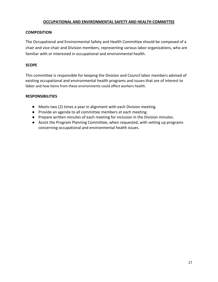## **OCCUPATIONAL AND ENVIRONMENTAL SAFETY AND HEALTH COMMITTEE**

#### **COMPOSITION**

The Occupational and Environmental Safety and Health Committee should be composed of a chair and vice-chair and Division members, representing various labor organizations, who are familiar with or interested in occupational and environmental health.

## **SCOPE**

This committee is responsible for keeping the Division and Council labor members advised of existing occupational and environmental health programs and issues that are of interest to labor and how items from these environments could affect workers health.

- Meets two (2) times a year in alignment with each Division meeting.
- Provide an agenda to all committee members at each meeting.
- Prepare written minutes of each meeting for inclusion in the Division minutes.
- Assist the Program Planning Committee, when requested, with setting up programs concerning occupational and environmental health issues.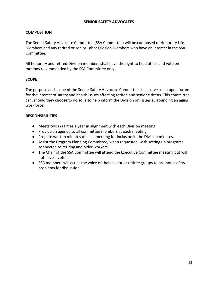## **SENIOR SAFETY ADVOCATES**

## **COMPOSITION**

The Senior Safety Advocate Committee (SSA Committee) will be composed of Honorary Life Members and any retired or senior Labor Division Members who have an interest in the SSA Committee.

All honorary and retired Division members shall have the right to hold office and vote on motions recommended by the SSA Committee only.

#### **SCOPE**

The purpose and scope of the Senior Safety Advocate Committee shall serve as an open forum for the interest of safety and health issues affecting retired and senior citizens. This committee can, should they choose to do so, also help inform the Division on issues surrounding an aging workforce.

- Meets two (2) times a year in alignment with each Division meeting.
- Provide an agenda to all committee members at each meeting.
- Prepare written minutes of each meeting for inclusion in the Division minutes.
- Assist the Program Planning Committee, when requested, with setting up programs connected to retiring and older workers.
- The Chair of the SSA Committee will attend the Executive Committee meeting but will not have a vote.
- SSA members will act as the voice of their senior or retiree groups to promote safety problems for discussion.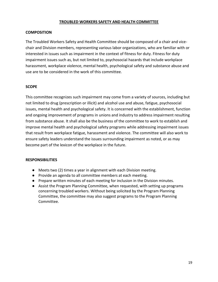#### **TROUBLED WORKERS SAFETY AND HEALTH COMMITTEE**

#### **COMPOSITION**

The Troubled Workers Safety and Health Committee should be composed of a chair and vicechair and Division members, representing various labor organizations, who are familiar with or interested in issues such as impairment in the context of fitness for duty. Fitness for duty impairment issues such as, but not limited to, psychosocial hazards that include workplace harassment, workplace violence, mental health, psychological safety and substance abuse and use are to be considered in the work of this committee.

#### **SCOPE**

This committee recognizes such impairment may come from a variety of sources, including but not limited to drug (prescription or illicit) and alcohol use and abuse, fatigue, psychosocial issues, mental health and psychological safety. It is concerned with the establishment, function and ongoing improvement of programs in unions and industry to address impairment resulting from substance abuse. It shall also be the business of the committee to work to establish and improve mental health and psychological safety programs while addressing impairment issues that result from workplace fatigue, harassment and violence. The committee will also work to ensure safety leaders understand the issues surrounding impairment as noted, or as may become part of the lexicon of the workplace in the future.

- Meets two (2) times a year in alignment with each Division meeting.
- Provide an agenda to all committee members at each meeting.
- Prepare written minutes of each meeting for inclusion in the Division minutes.
- Assist the Program Planning Committee, when requested, with setting up programs concerning troubled workers. Without being solicited by the Program Planning Committee, the committee may also suggest programs to the Program Planning Committee.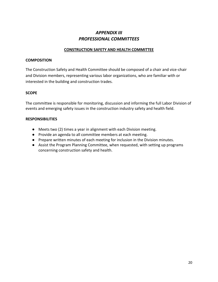# *APPENDIX III PROFESSIONAL COMMITTEES*

## **CONSTRUCTION SAFETY AND HEALTH COMMITTEE**

#### **COMPOSITION**

The Construction Safety and Health Committee should be composed of a chair and vice-chair and Division members, representing various labor organizations, who are familiar with or interested in the building and construction trades.

#### **SCOPE**

The committee is responsible for monitoring, discussion and informing the full Labor Division of events and emerging safety issues in the construction industry safety and health field.

- Meets two (2) times a year in alignment with each Division meeting.
- Provide an agenda to all committee members at each meeting.
- Prepare written minutes of each meeting for inclusion in the Division minutes.
- Assist the Program Planning Committee, when requested, with setting up programs concerning construction safety and health.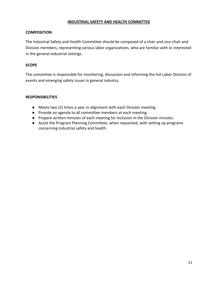#### **INDUSTRIAL SAFETY AND HEALTH COMMITTEE**

## **COMPOSITION**

The Industrial Safety and Health Committee should be composed of a chair and vice-chair and Division members, representing various labor organizations, who are familiar with or interested in the general industrial settings.

## **SCOPE**

The committee is responsible for monitoring, discussion and informing the full Labor Division of events and emerging safety issues in general industry.

- Meets two (2) times a year in alignment with each Division meeting.
- Provide an agenda to all committee members at each meeting.
- Prepare written minutes of each meeting for inclusion in the Division minutes.
- Assist the Program Planning Committee, when requested, with setting up programs concerning industrial safety and health.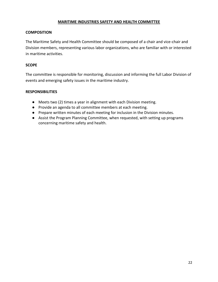#### **MARITIME INDUSTRIES SAFETY AND HEALTH COMMITTEE**

## **COMPOSITION**

The Maritime Safety and Health Committee should be composed of a chair and vice-chair and Division members, representing various labor organizations, who are familiar with or interested in maritime activities.

## **SCOPE**

The committee is responsible for monitoring, discussion and informing the full Labor Division of events and emerging safety issues in the maritime industry.

- Meets two (2) times a year in alignment with each Division meeting.
- Provide an agenda to all committee members at each meeting.
- Prepare written minutes of each meeting for inclusion in the Division minutes.
- Assist the Program Planning Committee, when requested, with setting up programs concerning maritime safety and health.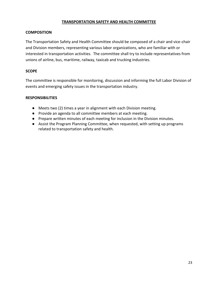## **TRANSPORTATION SAFETY AND HEALTH COMMITTEE**

## **COMPOSITION**

The Transportation Safety and Health Committee should be composed of a chair and vice-chair and Division members, representing various labor organizations, who are familiar with or interested in transportation activities. The committee shall try to include representatives from unions of airline, bus, maritime, railway, taxicab and trucking industries.

## **SCOPE**

The committee is responsible for monitoring, discussion and informing the full Labor Division of events and emerging safety issues in the transportation industry.

- Meets two (2) times a year in alignment with each Division meeting.
- Provide an agenda to all committee members at each meeting.
- Prepare written minutes of each meeting for inclusion in the Division minutes.
- Assist the Program Planning Committee, when requested, with setting up programs related to transportation safety and health.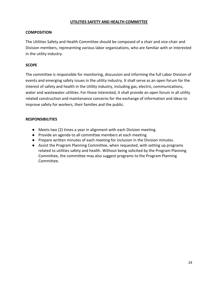## **UTILITIES SAFETY AND HEALTH COMMITTEE**

## **COMPOSITION**

The Utilities Safety and Health Committee should be composed of a chair and vice-chair and Division members, representing various labor organizations, who are familiar with or interested in the utility industry.

## **SCOPE**

The committee is responsible for monitoring, discussion and informing the full Labor Division of events and emerging safety issues in the utility industry. It shall serve as an open forum for the interest of safety and health in the Utility industry, including gas, electric, communications, water and wastewater utilities. For those interested, it shall provide an open forum in all utility related construction and maintenance concerns for the exchange of information and ideas to improve safety for workers, their families and the public.

- Meets two (2) times a year in alignment with each Division meeting.
- Provide an agenda to all committee members at each meeting.
- Prepare written minutes of each meeting for inclusion in the Division minutes.
- Assist the Program Planning Committee, when requested, with setting up programs related to utilities safety and health. Without being solicited by the Program Planning Committee, the committee may also suggest programs to the Program Planning Committee.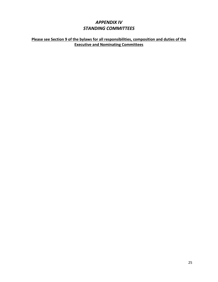# *APPENDIX IV STANDING COMMITTEES*

## **Please see Section 9 of the bylaws for all responsibilities, composition and duties of the Executive and Nominating Committees**